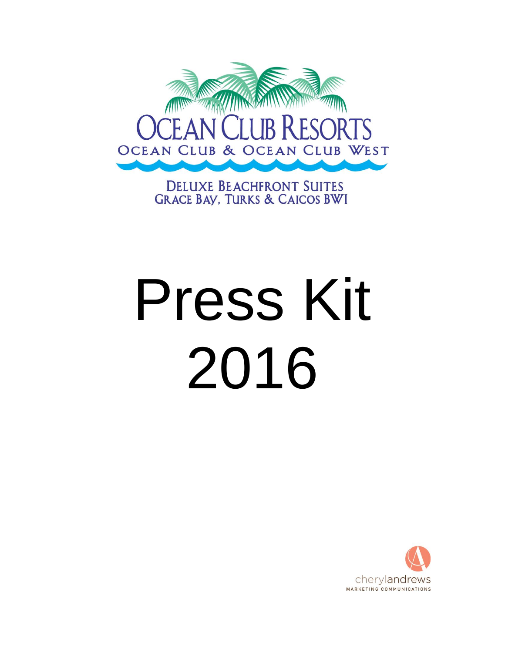

**DELUXE BEACHFRONT SUITES GRACE BAY, TURKS & CAICOS BWI** 

# Press Kit 2016

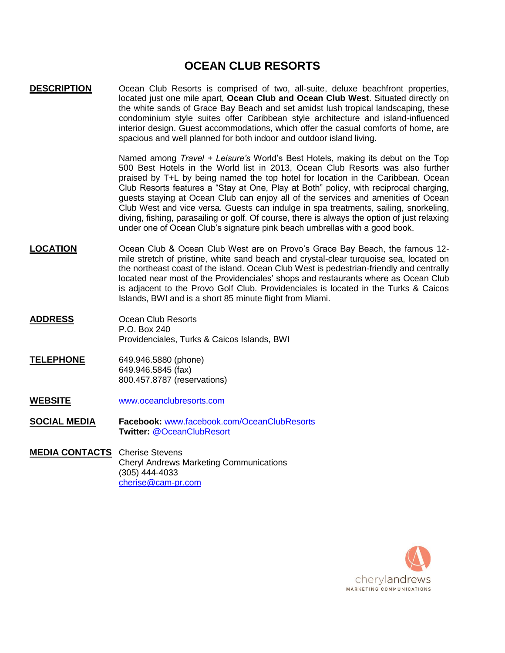# **OCEAN CLUB RESORTS**

**DESCRIPTION** Ocean Club Resorts is comprised of two, all-suite, deluxe beachfront properties, located just one mile apart, **Ocean Club and Ocean Club West**. Situated directly on the white sands of Grace Bay Beach and set amidst lush tropical landscaping, these condominium style suites offer Caribbean style architecture and island-influenced interior design. Guest accommodations, which offer the casual comforts of home, are spacious and well planned for both indoor and outdoor island living.

> Named among *Travel + Leisure's* World's Best Hotels, making its debut on the Top 500 Best Hotels in the World list in 2013, Ocean Club Resorts was also further praised by T+L by being named the top hotel for location in the Caribbean. Ocean Club Resorts features a "Stay at One, Play at Both" policy, with reciprocal charging, guests staying at Ocean Club can enjoy all of the services and amenities of Ocean Club West and vice versa. Guests can indulge in spa treatments, sailing, snorkeling, diving, fishing, parasailing or golf. Of course, there is always the option of just relaxing under one of Ocean Club's signature pink beach umbrellas with a good book.

- **LOCATION** Ocean Club & Ocean Club West are on Provo's Grace Bay Beach, the famous 12 mile stretch of pristine, white sand beach and crystal-clear turquoise sea, located on the northeast coast of the island. Ocean Club West is pedestrian-friendly and centrally located near most of the Providenciales' shops and restaurants where as Ocean Club is adjacent to the Provo Golf Club. Providenciales is located in the Turks & Caicos Islands, BWI and is a short 85 minute flight from Miami.
- **ADDRESS** Ocean Club Resorts P.O. Box 240 Providenciales, Turks & Caicos Islands, BWI
- **TELEPHONE** 649.946.5880 (phone) 649.946.5845 (fax) 800.457.8787 (reservations)
- **WEBSITE** [www.oceanclubresorts.com](http://www.oceanclubresorts.com/)
- **SOCIAL MEDIA Facebook:** [www.facebook.com/OceanClubResorts](http://www.facebook.com/OceanClubResorts) **Twitter:** [@OceanClubResort](https://twitter.com/OceanClubResort)
- **MEDIA CONTACTS** Cherise Stevens Cheryl Andrews Marketing Communications (305) 444-4033 [cherise@cam-pr.com](mailto:cherise@cam-pr.com)

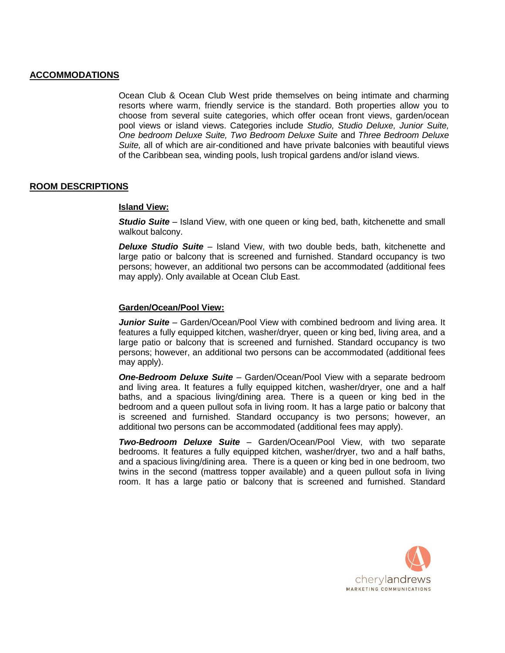# **ACCOMMODATIONS**

Ocean Club & Ocean Club West pride themselves on being intimate and charming resorts where warm, friendly service is the standard. Both properties allow you to choose from several suite categories, which offer ocean front views, garden/ocean pool views or island views. Categories include *Studio, Studio Deluxe, Junior Suite, One bedroom Deluxe Suite, Two Bedroom Deluxe Suite* and *Three Bedroom Deluxe Suite,* all of which are air-conditioned and have private balconies with beautiful views of the Caribbean sea, winding pools, lush tropical gardens and/or island views.

# **ROOM DESCRIPTIONS**

#### **Island View:**

*Studio Suite* – Island View, with one queen or king bed, bath, kitchenette and small walkout balcony.

*Deluxe Studio Suite* – Island View, with two double beds, bath, kitchenette and large patio or balcony that is screened and furnished. Standard occupancy is two persons; however, an additional two persons can be accommodated (additional fees may apply). Only available at Ocean Club East.

### **Garden/Ocean/Pool View:**

*Junior Suite* – Garden/Ocean/Pool View with combined bedroom and living area. It features a fully equipped kitchen, washer/dryer, queen or king bed, living area, and a large patio or balcony that is screened and furnished. Standard occupancy is two persons; however, an additional two persons can be accommodated (additional fees may apply).

*One-Bedroom Deluxe Suite* – Garden/Ocean/Pool View with a separate bedroom and living area. It features a fully equipped kitchen, washer/dryer, one and a half baths, and a spacious living/dining area. There is a queen or king bed in the bedroom and a queen pullout sofa in living room. It has a large patio or balcony that is screened and furnished. Standard occupancy is two persons; however, an additional two persons can be accommodated (additional fees may apply).

*Two-Bedroom Deluxe Suite* – Garden/Ocean/Pool View, with two separate bedrooms. It features a fully equipped kitchen, washer/dryer, two and a half baths, and a spacious living/dining area. There is a queen or king bed in one bedroom, two twins in the second (mattress topper available) and a queen pullout sofa in living room. It has a large patio or balcony that is screened and furnished. Standard